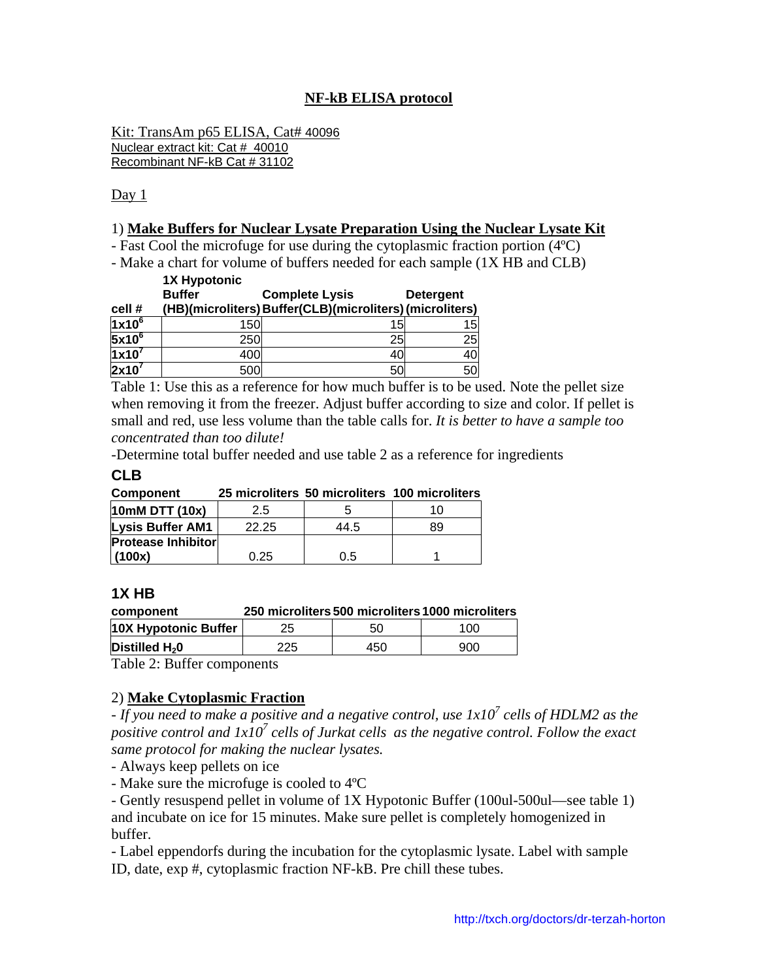# **NF-kB ELISA protocol**

Kit: TransAm p65 ELISA, Cat# 40096 Nuclear extract kit: Cat # 40010 Recombinant NF-kB Cat # 31102

Day 1

#### 1) **Make Buffers for Nuclear Lysate Preparation Using the Nuclear Lysate Kit**

- Fast Cool the microfuge for use during the cytoplasmic fraction portion (4ºC)

- Make a chart for volume of buffers needed for each sample (1X HB and CLB)

|                 | <b>1X Hypotonic</b> |                                                          |                  |
|-----------------|---------------------|----------------------------------------------------------|------------------|
|                 | <b>Buffer</b>       | <b>Complete Lysis</b>                                    | <b>Detergent</b> |
| cell #          |                     | (HB)(microliters) Buffer(CLB)(microliters) (microliters) |                  |
| $1x10^6$        | 150                 | 15                                                       | 15               |
| $5x10^6$        | 250                 | 25                                                       | 25               |
| $1x10^7$        | 400                 | 40                                                       | 40               |
| $\sqrt{2x}10^7$ | 500                 | 50                                                       | 50               |

Table 1: Use this as a reference for how much buffer is to be used. Note the pellet size when removing it from the freezer. Adjust buffer according to size and color. If pellet is small and red, use less volume than the table calls for. *It is better to have a sample too concentrated than too dilute!* 

-Determine total buffer needed and use table 2 as a reference for ingredients

#### **CLB**

| Component                 |       |      | 25 microliters 50 microliters 100 microliters |
|---------------------------|-------|------|-----------------------------------------------|
| 10mM DTT (10x)            | 2.5   |      | 10                                            |
| <b>Lysis Buffer AM1</b>   | 22.25 | 44.5 | 89                                            |
| <b>Protease Inhibitor</b> |       |      |                                               |
| (100x)                    | 0.25  | 0.5  |                                               |

#### **1X HB**

| component | 250 microliters 500 microliters 1000 microliters |  |
|-----------|--------------------------------------------------|--|
|           |                                                  |  |

| 10X Hypotonic Buffer       | ∠ປ |     | 100 |  |
|----------------------------|----|-----|-----|--|
| Distilled $H_2$ 0          |    | 450 | 900 |  |
| Teble 2. Duffer components |    |     |     |  |

Table 2: Buffer components

## 2) **Make Cytoplasmic Fraction**

- *If you need to make a positive and a negative control, use 1x10<sup>7</sup> cells of HDLM2 as the* positive control and  $1x10^7$  cells of Jurkat cells as the negative control. Follow the exact *same protocol for making the nuclear lysates.*

- Always keep pellets on ice

- Make sure the microfuge is cooled to 4ºC

- Gently resuspend pellet in volume of 1X Hypotonic Buffer (100ul-500ul—see table 1) and incubate on ice for 15 minutes. Make sure pellet is completely homogenized in buffer.

- Label eppendorfs during the incubation for the cytoplasmic lysate. Label with sample ID, date, exp #, cytoplasmic fraction NF-kB. Pre chill these tubes.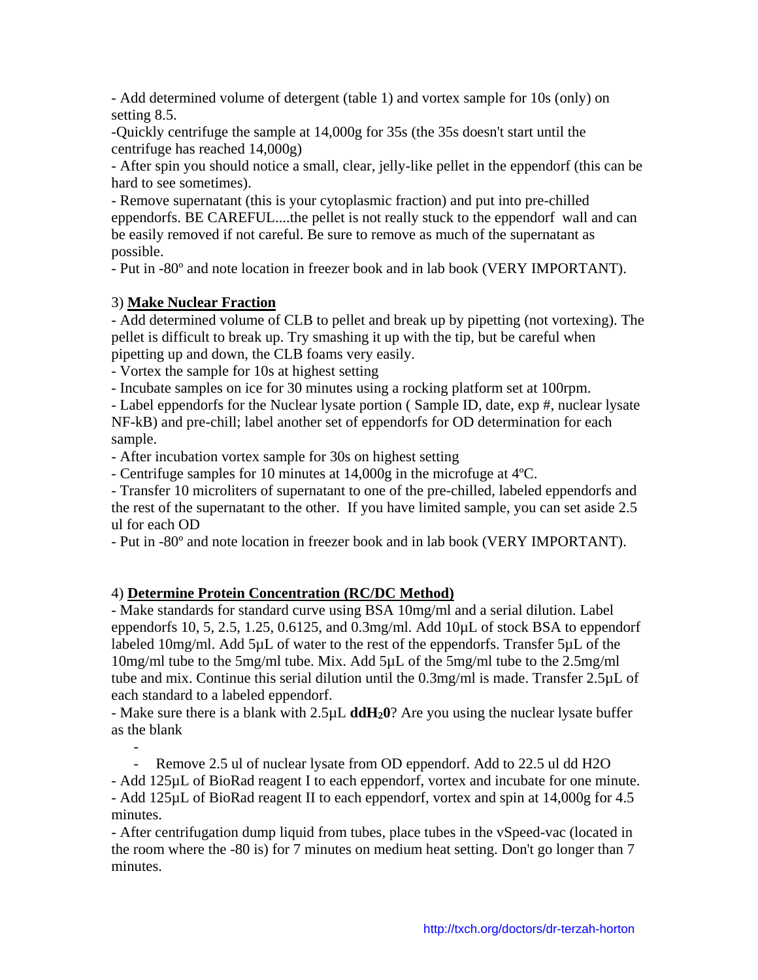- Add determined volume of detergent (table 1) and vortex sample for 10s (only) on setting 8.5.

-Quickly centrifuge the sample at 14,000g for 35s (the 35s doesn't start until the centrifuge has reached 14,000g)

- After spin you should notice a small, clear, jelly-like pellet in the eppendorf (this can be hard to see sometimes).

- Remove supernatant (this is your cytoplasmic fraction) and put into pre-chilled eppendorfs. BE CAREFUL....the pellet is not really stuck to the eppendorf wall and can be easily removed if not careful. Be sure to remove as much of the supernatant as possible.

- Put in -80º and note location in freezer book and in lab book (VERY IMPORTANT).

# 3) **Make Nuclear Fraction**

- Add determined volume of CLB to pellet and break up by pipetting (not vortexing). The pellet is difficult to break up. Try smashing it up with the tip, but be careful when pipetting up and down, the CLB foams very easily.

- Vortex the sample for 10s at highest setting

- Incubate samples on ice for 30 minutes using a rocking platform set at 100rpm.

- Label eppendorfs for the Nuclear lysate portion ( Sample ID, date, exp #, nuclear lysate NF-kB) and pre-chill; label another set of eppendorfs for OD determination for each sample.

- After incubation vortex sample for 30s on highest setting

- Centrifuge samples for 10 minutes at 14,000g in the microfuge at 4ºC.

- Transfer 10 microliters of supernatant to one of the pre-chilled, labeled eppendorfs and the rest of the supernatant to the other. If you have limited sample, you can set aside 2.5 ul for each OD

- Put in -80º and note location in freezer book and in lab book (VERY IMPORTANT).

# 4) **Determine Protein Concentration (RC/DC Method)**

- Make standards for standard curve using BSA 10mg/ml and a serial dilution. Label eppendorfs 10, 5, 2.5, 1.25, 0.6125, and 0.3mg/ml. Add 10µL of stock BSA to eppendorf labeled 10mg/ml. Add 5µL of water to the rest of the eppendorfs. Transfer 5µL of the 10mg/ml tube to the 5mg/ml tube. Mix. Add 5µL of the 5mg/ml tube to the 2.5mg/ml tube and mix. Continue this serial dilution until the 0.3mg/ml is made. Transfer 2.5µL of each standard to a labeled eppendorf.

- Make sure there is a blank with 2.5µL **ddH20**? Are you using the nuclear lysate buffer as the blank

- - Remove 2.5 ul of nuclear lysate from OD eppendorf. Add to 22.5 ul dd H2O - Add 125µL of BioRad reagent I to each eppendorf, vortex and incubate for one minute. - Add 125µL of BioRad reagent II to each eppendorf, vortex and spin at 14,000g for 4.5 minutes.

- After centrifugation dump liquid from tubes, place tubes in the vSpeed-vac (located in the room where the -80 is) for 7 minutes on medium heat setting. Don't go longer than 7 minutes.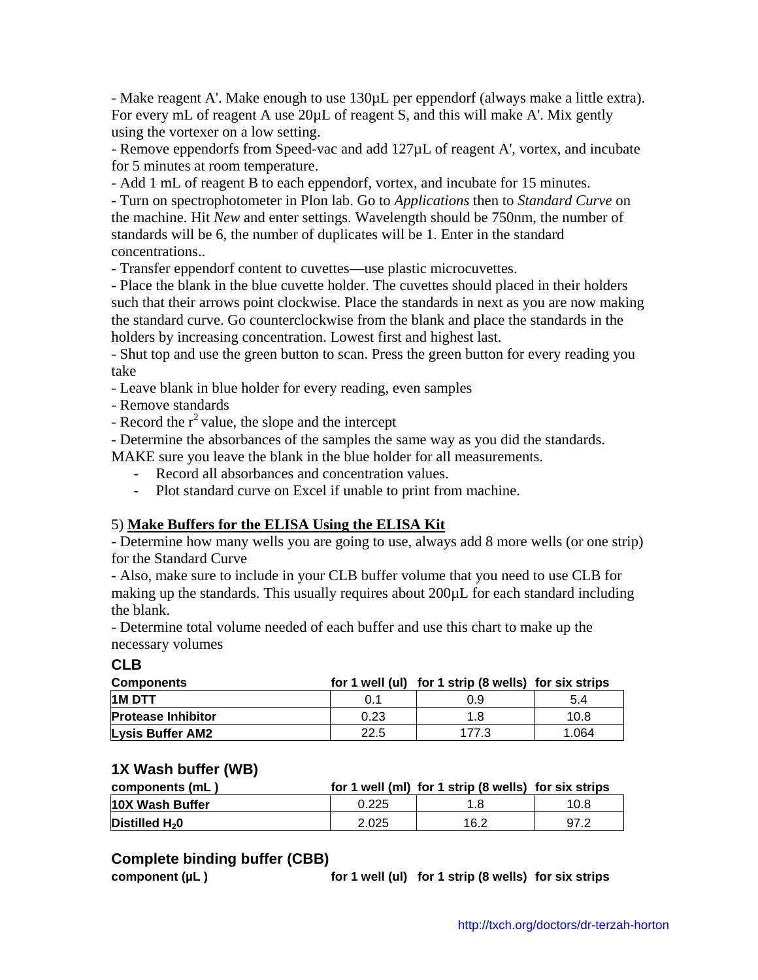- Make reagent A'. Make enough to use 130µL per eppendorf (always make a little extra). For every mL of reagent A use 20 $\mu$ L of reagent S, and this will make A'. Mix gently using the vortexer on a low setting.

- Remove eppendorfs from Speed-vac and add 127µL of reagent A', vortex, and incubate for 5 minutes at room temperature.

- Add 1 mL of reagent B to each eppendorf, vortex, and incubate for 15 minutes.

- Turn on spectrophotometer in Plon lab. Go to *Applications* then to *Standard Curve* on the machine. Hit *New* and enter settings. Wavelength should be 750nm, the number of standards will be 6, the number of duplicates will be 1. Enter in the standard concentrations..

- Transfer eppendorf content to cuvettes—use plastic microcuvettes.

- Place the blank in the blue cuvette holder. The cuvettes should placed in their holders such that their arrows point clockwise. Place the standards in next as you are now making the standard curve. Go counterclockwise from the blank and place the standards in the holders by increasing concentration. Lowest first and highest last.

- Shut top and use the green button to scan. Press the green button for every reading you take

- Leave blank in blue holder for every reading, even samples

- Remove standards

- Record the  $r^2$  value, the slope and the intercept

- Determine the absorbances of the samples the same way as you did the standards.

MAKE sure you leave the blank in the blue holder for all measurements.

- Record all absorbances and concentration values.
- Plot standard curve on Excel if unable to print from machine.

### 5) **Make Buffers for the ELISA Using the ELISA Kit**

- Determine how many wells you are going to use, always add 8 more wells (or one strip) for the Standard Curve

- Also, make sure to include in your CLB buffer volume that you need to use CLB for making up the standards. This usually requires about 200µL for each standard including the blank.

- Determine total volume needed of each buffer and use this chart to make up the necessary volumes

**CLB** 

| <b>Components</b>         |      | for 1 well (ul) for 1 strip (8 wells) for six strips |       |
|---------------------------|------|------------------------------------------------------|-------|
| <b>HM DTT</b>             | 0.1  | 0.9                                                  | 5.4   |
| <b>Protease Inhibitor</b> | 0.23 | 1.8                                                  | 10.8  |
| <b>Lysis Buffer AM2</b>   | 22.5 | 177.3                                                | 1.064 |

### **1X Wash buffer (WB)**

| components (mL)        |       | for 1 well (ml) for 1 strip (8 wells) for six strips |      |
|------------------------|-------|------------------------------------------------------|------|
| <b>10X Wash Buffer</b> | 0.225 |                                                      | 10.8 |
| Distilled $H_2$ 0      | 2.025 | 16.2                                                 | 97.2 |

#### **Complete binding buffer (CBB)**

component (µL) **for 1 well (ul) for 1 strip (8 wells)** for six strips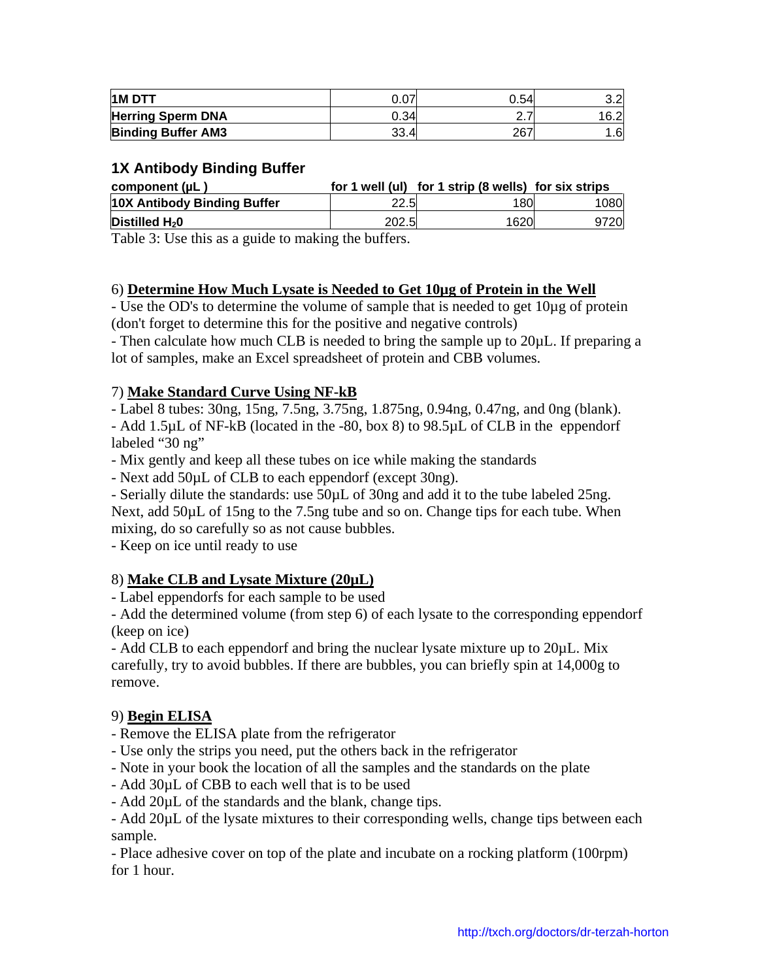| 1M DTT                    | $\sim$ $\sim$ $\sim$<br>J.U7 | 0.54     | ו פ<br>اے.ت |
|---------------------------|------------------------------|----------|-------------|
| <b>Herring Sperm DNA</b>  | 0.34                         | <u>.</u> | 16.2        |
| <b>Binding Buffer AM3</b> | 33.4                         | 267      | .6          |

# **1X Antibody Binding Buffer**

| component (µL)              |       | for 1 well (ul) for 1 strip (8 wells) for six strips |      |
|-----------------------------|-------|------------------------------------------------------|------|
| 10X Antibody Binding Buffer | 22.51 | 180                                                  | 1080 |
| Distilled $H_2$ 0           | 202.5 | 1620                                                 | 9720 |
| ---------                   |       |                                                      |      |

Table 3: Use this as a guide to making the buffers.

## 6) **Determine How Much Lysate is Needed to Get 10µg of Protein in the Well**

- Use the OD's to determine the volume of sample that is needed to get 10µg of protein (don't forget to determine this for the positive and negative controls)

- Then calculate how much CLB is needed to bring the sample up to 20µL. If preparing a lot of samples, make an Excel spreadsheet of protein and CBB volumes.

## 7) **Make Standard Curve Using NF-kB**

- Label 8 tubes: 30ng, 15ng, 7.5ng, 3.75ng, 1.875ng, 0.94ng, 0.47ng, and 0ng (blank). - Add 1.5µL of NF-kB (located in the -80, box 8) to 98.5µL of CLB in the eppendorf labeled "30 ng"

- Mix gently and keep all these tubes on ice while making the standards

- Next add 50µL of CLB to each eppendorf (except 30ng).

- Serially dilute the standards: use 50µL of 30ng and add it to the tube labeled 25ng.

Next, add 50µL of 15ng to the 7.5ng tube and so on. Change tips for each tube. When mixing, do so carefully so as not cause bubbles.

- Keep on ice until ready to use

## 8) **Make CLB and Lysate Mixture (20µL)**

- Label eppendorfs for each sample to be used

- Add the determined volume (from step 6) of each lysate to the corresponding eppendorf (keep on ice)

- Add CLB to each eppendorf and bring the nuclear lysate mixture up to 20µL. Mix carefully, try to avoid bubbles. If there are bubbles, you can briefly spin at 14,000g to remove.

### 9) **Begin ELISA**

- Remove the ELISA plate from the refrigerator
- Use only the strips you need, put the others back in the refrigerator
- Note in your book the location of all the samples and the standards on the plate
- Add 30µL of CBB to each well that is to be used
- Add 20µL of the standards and the blank, change tips.

- Add 20µL of the lysate mixtures to their corresponding wells, change tips between each sample.

- Place adhesive cover on top of the plate and incubate on a rocking platform (100rpm) for 1 hour.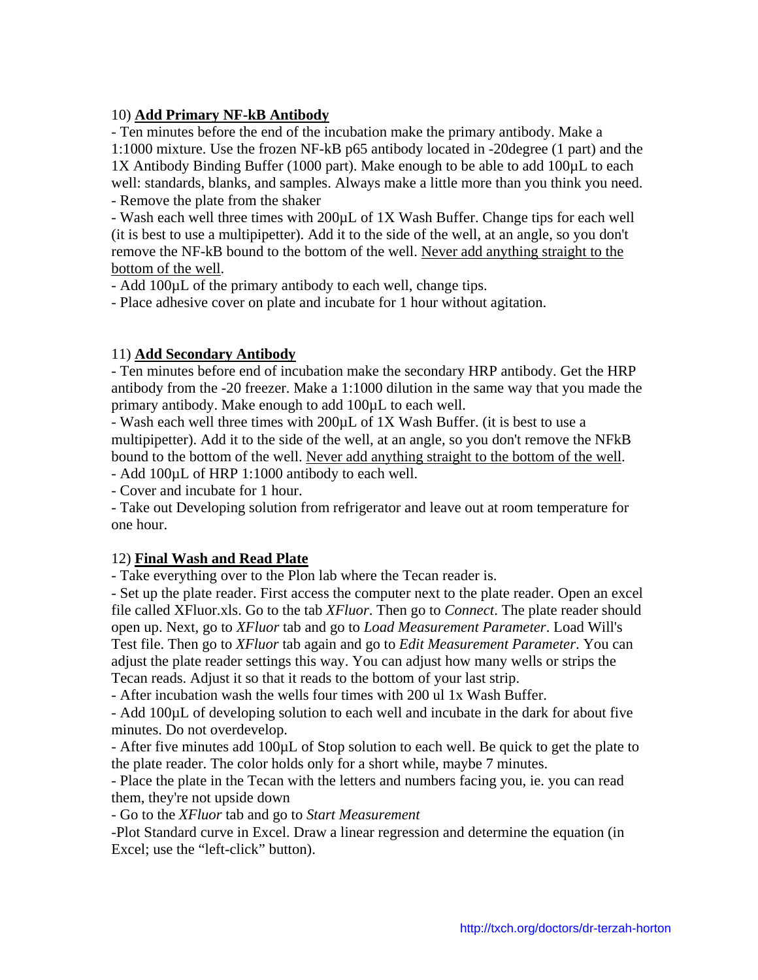### 10) **Add Primary NF-kB Antibody**

- Ten minutes before the end of the incubation make the primary antibody. Make a 1:1000 mixture. Use the frozen NF-kB p65 antibody located in -20degree (1 part) and the 1X Antibody Binding Buffer (1000 part). Make enough to be able to add 100µL to each well: standards, blanks, and samples. Always make a little more than you think you need. - Remove the plate from the shaker

- Wash each well three times with 200µL of 1X Wash Buffer. Change tips for each well (it is best to use a multipipetter). Add it to the side of the well, at an angle, so you don't remove the NF-kB bound to the bottom of the well. Never add anything straight to the bottom of the well.

- Add 100µL of the primary antibody to each well, change tips.

- Place adhesive cover on plate and incubate for 1 hour without agitation.

### 11) **Add Secondary Antibody**

- Ten minutes before end of incubation make the secondary HRP antibody. Get the HRP antibody from the -20 freezer. Make a 1:1000 dilution in the same way that you made the primary antibody. Make enough to add 100µL to each well.

- Wash each well three times with 200µL of 1X Wash Buffer. (it is best to use a multipipetter). Add it to the side of the well, at an angle, so you don't remove the NFkB bound to the bottom of the well. Never add anything straight to the bottom of the well.

- Add 100µL of HRP 1:1000 antibody to each well.

- Cover and incubate for 1 hour.

- Take out Developing solution from refrigerator and leave out at room temperature for one hour.

## 12) **Final Wash and Read Plate**

- Take everything over to the Plon lab where the Tecan reader is.

- Set up the plate reader. First access the computer next to the plate reader. Open an excel file called XFluor.xls. Go to the tab *XFluor*. Then go to *Connect*. The plate reader should open up. Next, go to *XFluor* tab and go to *Load Measurement Parameter*. Load Will's Test file. Then go to *XFluor* tab again and go to *Edit Measurement Parameter*. You can adjust the plate reader settings this way. You can adjust how many wells or strips the Tecan reads. Adjust it so that it reads to the bottom of your last strip.

- After incubation wash the wells four times with 200 ul 1x Wash Buffer.

- Add 100µL of developing solution to each well and incubate in the dark for about five minutes. Do not overdevelop.

- After five minutes add 100µL of Stop solution to each well. Be quick to get the plate to the plate reader. The color holds only for a short while, maybe 7 minutes.

- Place the plate in the Tecan with the letters and numbers facing you, ie. you can read them, they're not upside down

- Go to the *XFluor* tab and go to *Start Measurement*

-Plot Standard curve in Excel. Draw a linear regression and determine the equation (in Excel; use the "left-click" button).